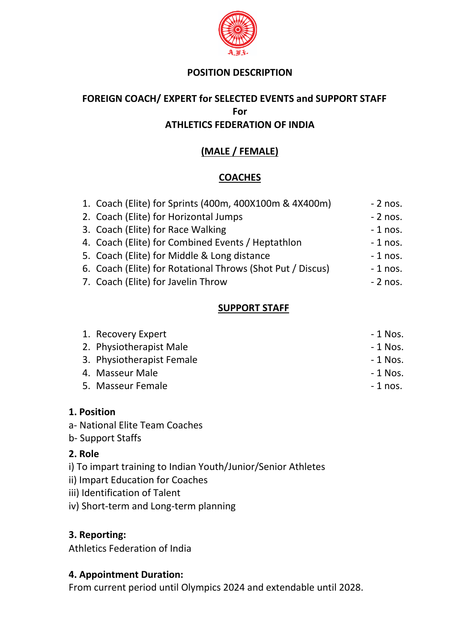

#### **POSITION DESCRIPTION**

# **FOREIGN COACH/ EXPERT for SELECTED EVENTS and SUPPORT STAFF For ATHLETICS FEDERATION OF INDIA**

# **(MALE / FEMALE)**

# **COACHES**

| 1. Coach (Elite) for Sprints (400m, 400X100m & 4X400m)     | $-2$ nos. |
|------------------------------------------------------------|-----------|
| 2. Coach (Elite) for Horizontal Jumps                      | $-2$ nos. |
| 3. Coach (Elite) for Race Walking                          | $-1$ nos. |
| 4. Coach (Elite) for Combined Events / Heptathlon          | $-1$ nos. |
| 5. Coach (Elite) for Middle & Long distance                | $-1$ nos. |
| 6. Coach (Elite) for Rotational Throws (Shot Put / Discus) | $-1$ nos. |
| 7. Coach (Elite) for Javelin Throw                         | $-2$ nos. |
|                                                            |           |

### **SUPPORT STAFF**

| 1. Recovery Expert        | - 1 Nos.  |
|---------------------------|-----------|
| 2. Physiotherapist Male   | $-1$ Nos. |
| 3. Physiotherapist Female | $-1$ Nos. |
| 4. Masseur Male           | $-1$ Nos. |
| 5. Masseur Female         | $-1$ nos. |

#### **1. Position**

- a- National Elite Team Coaches
- b- Support Staffs

### **2. Role**

- i) To impart training to Indian Youth/Junior/Senior Athletes
- ii) Impart Education for Coaches
- iii) Identification of Talent
- iv) Short-term and Long-term planning

# **3. Reporting:**

Athletics Federation of India

### **4. Appointment Duration:**

From current period until Olympics 2024 and extendable until 2028.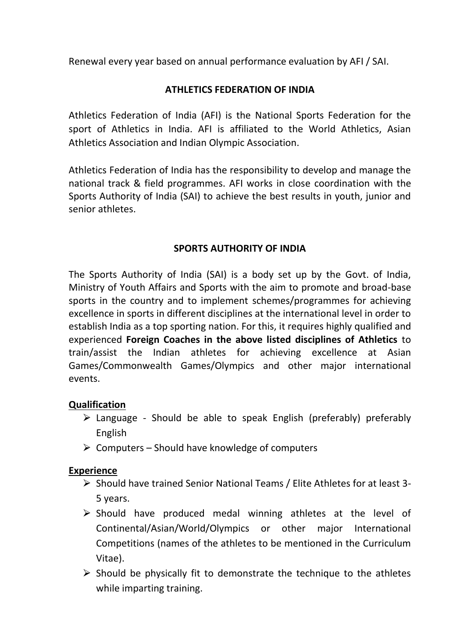Renewal every year based on annual performance evaluation by AFI / SAI.

# **ATHLETICS FEDERATION OF INDIA**

Athletics Federation of India (AFI) is the National Sports Federation for the sport of Athletics in India. AFI is affiliated to the World Athletics, Asian Athletics Association and Indian Olympic Association.

Athletics Federation of India has the responsibility to develop and manage the national track & field programmes. AFI works in close coordination with the Sports Authority of India (SAI) to achieve the best results in youth, junior and senior athletes.

### **SPORTS AUTHORITY OF INDIA**

The Sports Authority of India (SAI) is a body set up by the Govt. of India, Ministry of Youth Affairs and Sports with the aim to promote and broad-base sports in the country and to implement schemes/programmes for achieving excellence in sports in different disciplines at the international level in order to establish India as a top sporting nation. For this, it requires highly qualified and experienced **Foreign Coaches in the above listed disciplines of Athletics** to train/assist the Indian athletes for achieving excellence at Asian Games/Commonwealth Games/Olympics and other major international events.

### **Qualification**

- $\triangleright$  Language Should be able to speak English (preferably) preferably English
- $\triangleright$  Computers Should have knowledge of computers

### **Experience**

- ⮚ Should have trained Senior National Teams / Elite Athletes for at least 3- 5 years.
- $\triangleright$  Should have produced medal winning athletes at the level of Continental/Asian/World/Olympics or other major International Competitions (names of the athletes to be mentioned in the Curriculum Vitae).
- $\triangleright$  Should be physically fit to demonstrate the technique to the athletes while imparting training.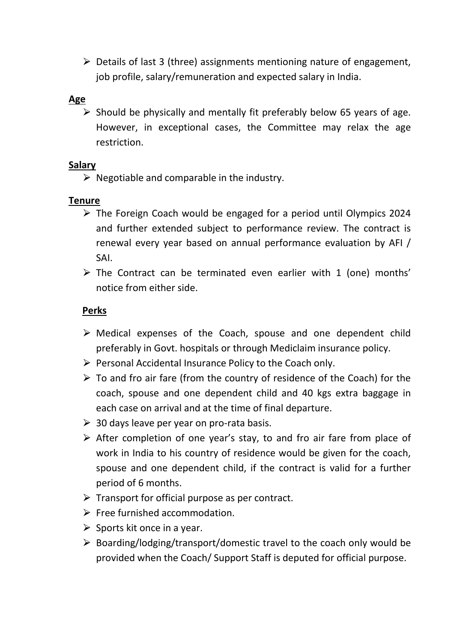$\triangleright$  Details of last 3 (three) assignments mentioning nature of engagement, job profile, salary/remuneration and expected salary in India.

#### **Age**

 $\triangleright$  Should be physically and mentally fit preferably below 65 years of age. However, in exceptional cases, the Committee may relax the age restriction.

#### **Salary**

 $\triangleright$  Negotiable and comparable in the industry.

#### **Tenure**

- $\triangleright$  The Foreign Coach would be engaged for a period until Olympics 2024 and further extended subject to performance review. The contract is renewal every year based on annual performance evaluation by AFI / SAI.
- $\triangleright$  The Contract can be terminated even earlier with 1 (one) months' notice from either side.

### **Perks**

- $\triangleright$  Medical expenses of the Coach, spouse and one dependent child preferably in Govt. hospitals or through Mediclaim insurance policy.
- $\triangleright$  Personal Accidental Insurance Policy to the Coach only.
- $\triangleright$  To and fro air fare (from the country of residence of the Coach) for the coach, spouse and one dependent child and 40 kgs extra baggage in each case on arrival and at the time of final departure.
- $\geq$  30 days leave per year on pro-rata basis.
- $\triangleright$  After completion of one year's stay, to and fro air fare from place of work in India to his country of residence would be given for the coach, spouse and one dependent child, if the contract is valid for a further period of 6 months.
- $\triangleright$  Transport for official purpose as per contract.
- $\triangleright$  Free furnished accommodation.
- $\triangleright$  Sports kit once in a year.
- $\triangleright$  Boarding/lodging/transport/domestic travel to the coach only would be provided when the Coach/ Support Staff is deputed for official purpose.